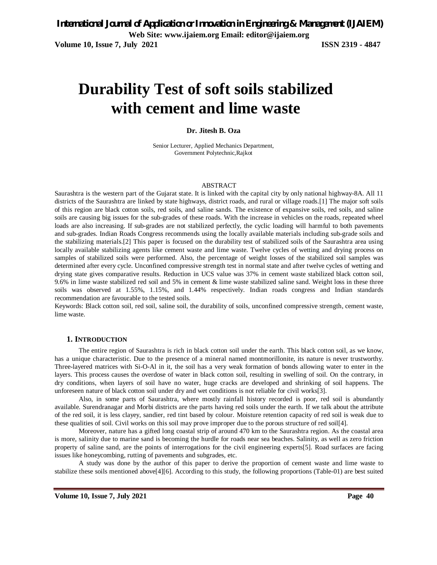# **Durability Test of soft soils stabilized with cement and lime waste**

#### **Dr. Jitesh B. Oza**

Senior Lecturer, Applied Mechanics Department, Government Polytechnic,Rajkot

#### ABSTRACT

Saurashtra is the western part of the Gujarat state. It is linked with the capital city by only national highway-8A. All 11 districts of the Saurashtra are linked by state highways, district roads, and rural or village roads.[1] The major soft soils of this region are black cotton soils, red soils, and saline sands. The existence of expansive soils, red soils, and saline soils are causing big issues for the sub-grades of these roads. With the increase in vehicles on the roads, repeated wheel loads are also increasing. If sub-grades are not stabilized perfectly, the cyclic loading will harmful to both pavements and sub-grades. Indian Roads Congress recommends using the locally available materials including sub-grade soils and the stabilizing materials.[2] This paper is focused on the durability test of stabilized soils of the Saurashtra area using locally available stabilizing agents like cement waste and lime waste. Twelve cycles of wetting and drying process on samples of stabilized soils were performed. Also, the percentage of weight losses of the stabilized soil samples was determined after every cycle. Unconfined compressive strength test in normal state and after twelve cycles of wetting and drying state gives comparative results. Reduction in UCS value was 37% in cement waste stabilized black cotton soil, 9.6% in lime waste stabilized red soil and 5% in cement & lime waste stabilized saline sand. Weight loss in these three soils was observed at 1.55%, 1.15%, and 1.44% respectively. Indian roads congress and Indian standards recommendation are favourable to the tested soils.

Keywords: Black cotton soil, red soil, saline soil, the durability of soils, unconfined compressive strength, cement waste, lime waste.

#### **1. INTRODUCTION**

The entire region of Saurashtra is rich in black cotton soil under the earth. This black cotton soil, as we know, has a unique characteristic. Due to the presence of a mineral named montmorillonite, its nature is never trustworthy. Three-layered matrices with Si-O-Al in it, the soil has a very weak formation of bonds allowing water to enter in the layers. This process causes the overdose of water in black cotton soil, resulting in swelling of soil. On the contrary, in dry conditions, when layers of soil have no water, huge cracks are developed and shrinking of soil happens. The unforeseen nature of black cotton soil under dry and wet conditions is not reliable for civil works[3].

Also, in some parts of Saurashtra, where mostly rainfall history recorded is poor, red soil is abundantly available. Surendranagar and Morbi districts are the parts having red soils under the earth. If we talk about the attribute of the red soil, it is less clayey, sandier, red tint based by colour. Moisture retention capacity of red soil is weak due to these qualities of soil. Civil works on this soil may prove improper due to the porous structure of red soil[4].

Moreover, nature has a gifted long coastal strip of around 470 km to the Saurashtra region. As the coastal area is more, salinity due to marine sand is becoming the hurdle for roads near sea beaches. Salinity, as well as zero friction property of saline sand, are the points of interrogations for the civil engineering experts[5]. Road surfaces are facing issues like honeycombing, rutting of pavements and subgrades, etc.

A study was done by the author of this paper to derive the proportion of cement waste and lime waste to stabilize these soils mentioned above[4][6]. According to this study, the following proportions (Table-01) are best suited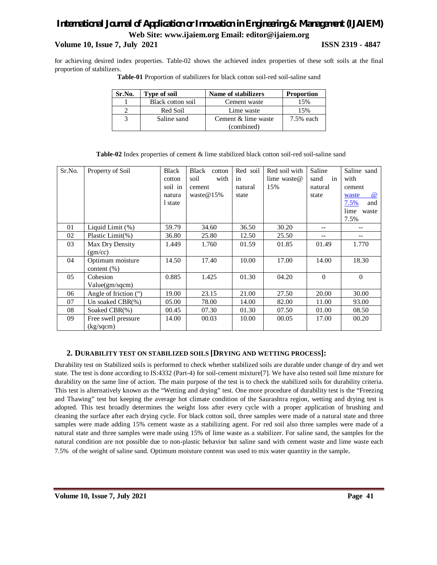### **Volume 10, Issue 7, July 2021 ISSN 2319 - 4847**

for achieving desired index properties. Table-02 shows the achieved index properties of these soft soils at the final proportion of stabilizers.

| Sr.No. | Type of soil      | Name of stabilizers | <b>Proportion</b> |
|--------|-------------------|---------------------|-------------------|
|        | Black cotton soil | Cement waste        | 15%               |
|        | Red Soil          | Lime waste          | 15%               |
| 3      | Saline sand       | Cement & lime waste | 7.5% each         |
|        |                   | (combined)          |                   |

**Table-01** Proportion of stabilizers for black cotton soil-red soil-saline sand

| Table-02 Index properties of cement & lime stabilized black cotton soil-red soil-saline sand |
|----------------------------------------------------------------------------------------------|
|----------------------------------------------------------------------------------------------|

| Sr.No. | Property of Soil                    | Black<br>cotton<br>soil in<br>natura<br>1 state | <b>Black</b><br>cotton<br>with<br>soil<br>cement<br>waste $@15\%$ | Red soil<br>in<br>natural<br>state | Red soil with<br>lime waste $@$<br>15% | Saline<br>sand<br>in<br>natural<br>state | Saline sand<br>with<br>cement<br>$\omega$<br>waste<br>7.5%<br>and<br>lime<br>waste<br>7.5% |
|--------|-------------------------------------|-------------------------------------------------|-------------------------------------------------------------------|------------------------------------|----------------------------------------|------------------------------------------|--------------------------------------------------------------------------------------------|
| 01     | Liquid Limit (%)                    | 59.79                                           | 34.60                                                             | 36.50                              | 30.20                                  | --                                       |                                                                                            |
| 02     | Plastic Limit(%)                    | 36.80                                           | 25.80                                                             | 12.50                              | 25.50                                  |                                          |                                                                                            |
| 03     | Max Dry Density<br>(gm/cc)          | 1.449                                           | 1.760                                                             | 01.59                              | 01.85                                  | 01.49                                    | 1.770                                                                                      |
| 04     | Optimum moisture<br>content $(\% )$ | 14.50                                           | 17.40                                                             | 10.00                              | 17.00                                  | 14.00                                    | 18.30                                                                                      |
| 05     | Cohesion<br>Value(gm/sqcm)          | 0.885                                           | 1.425                                                             | 01.30                              | 04.20                                  | $\Omega$                                 | $\mathbf{0}$                                                                               |
| 06     | Angle of friction (")               | 19.00                                           | 23.15                                                             | 21.00                              | 27.50                                  | 20.00                                    | 30.00                                                                                      |
| 07     | Un soaked $CBR(\%)$                 | 05.00                                           | 78.00                                                             | 14.00                              | 82.00                                  | 11.00                                    | 93.00                                                                                      |
| 08     | Soaked CBR(%)                       | 00.45                                           | 07.30                                                             | 01.30                              | 07.50                                  | 01.00                                    | 08.50                                                                                      |
| 09     | Free swell pressure<br>(kg/sqcm)    | 14.00                                           | 00.03                                                             | 10.00                              | 00.05                                  | 17.00                                    | 00.20                                                                                      |

### **2. DURABILITY TEST ON STABILIZED SOILS [DRYING AND WETTING PROCESS]:**

Durability test on Stabilized soils is performed to check whether stabilized soils are durable under change of dry and wet state. The test is done according to IS:4332 (Part-4) for soil-cement mixture[7]. We have also tested soil lime mixture for durability on the same line of action. The main purpose of the test is to check the stabilized soils for durability criteria. This test is alternatively known as the "Wetting and drying" test. One more procedure of durability test is the "Freezing and Thawing" test but keeping the average hot climate condition of the Saurashtra region, wetting and drying test is adopted. This test broadly determines the weight loss after every cycle with a proper application of brushing and cleaning the surface after each drying cycle. For black cotton soil, three samples were made of a natural state and three samples were made adding 15% cement waste as a stabilizing agent. For red soil also three samples were made of a natural state and three samples were made using 15% of lime waste as a stabilizer. For saline sand, the samples for the natural condition are not possible due to non-plastic behavior but saline sand with cement waste and lime waste each 7.5% of the weight of saline sand. Optimum moisture content was used to mix water quantity in the sample.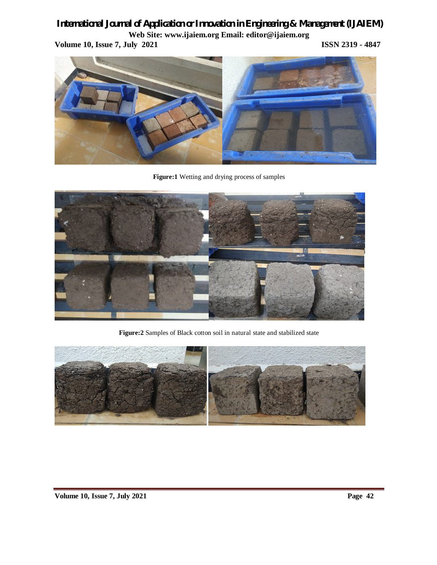**Volume 10, Issue 7, July 2021 ISSN 2319 - 4847** 



**Figure:1** Wetting and drying process of samples



**Figure:2** Samples of Black cotton soil in natural state and stabilized state

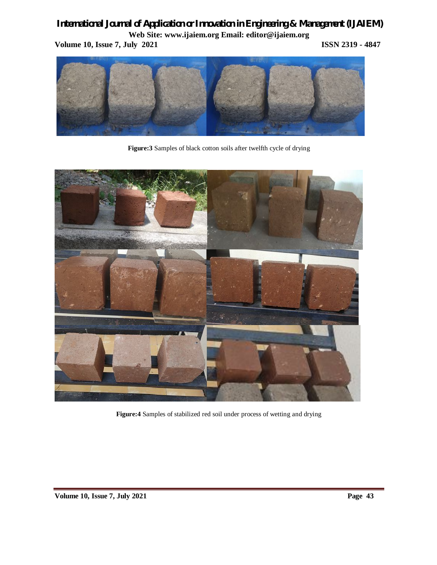**Volume 10, Issue 7, July 2021 ISSN 2319 - 4847** 



**Figure:3** Samples of black cotton soils after twelfth cycle of drying



**Figure:4** Samples of stabilized red soil under process of wetting and drying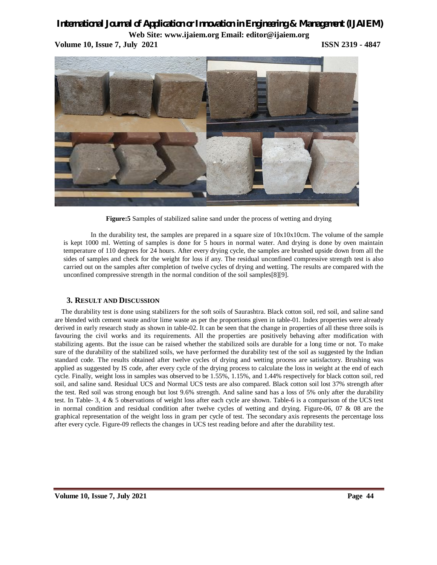**Volume 10, Issue 7, July 2021 ISSN 2319 - 4847**



**Figure:5** Samples of stabilized saline sand under the process of wetting and drying

In the durability test, the samples are prepared in a square size of 10x10x10cm. The volume of the sample is kept 1000 ml. Wetting of samples is done for 5 hours in normal water. And drying is done by oven maintain temperature of 110 degrees for 24 hours. After every drying cycle, the samples are brushed upside down from all the sides of samples and check for the weight for loss if any. The residual unconfined compressive strength test is also carried out on the samples after completion of twelve cycles of drying and wetting. The results are compared with the unconfined compressive strength in the normal condition of the soil samples[8][9].

### **3. RESULT AND DISCUSSION**

The durability test is done using stabilizers for the soft soils of Saurashtra. Black cotton soil, red soil, and saline sand are blended with cement waste and/or lime waste as per the proportions given in table-01. Index properties were already derived in early research study as shown in table-02. It can be seen that the change in properties of all these three soils is favouring the civil works and its requirements. All the properties are positively behaving after modification with stabilizing agents. But the issue can be raised whether the stabilized soils are durable for a long time or not. To make sure of the durability of the stabilized soils, we have performed the durability test of the soil as suggested by the Indian standard code. The results obtained after twelve cycles of drying and wetting process are satisfactory. Brushing was applied as suggested by IS code, after every cycle of the drying process to calculate the loss in weight at the end of each cycle. Finally, weight loss in samples was observed to be 1.55%, 1.15%, and 1.44% respectively for black cotton soil, red soil, and saline sand. Residual UCS and Normal UCS tests are also compared. Black cotton soil lost 37% strength after the test. Red soil was strong enough but lost 9.6% strength. And saline sand has a loss of 5% only after the durability test. In Table- 3, 4 & 5 observations of weight loss after each cycle are shown. Table-6 is a comparison of the UCS test in normal condition and residual condition after twelve cycles of wetting and drying. Figure-06, 07 & 08 are the graphical representation of the weight loss in gram per cycle of test. The secondary axis represents the percentage loss after every cycle. Figure-09 reflects the changes in UCS test reading before and after the durability test.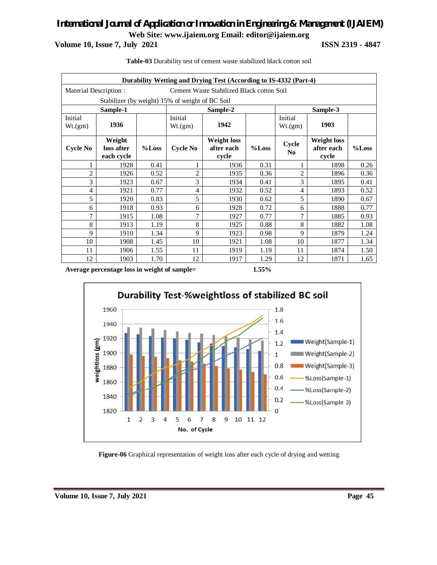**Volume 10, Issue 7, July 2021 ISSN 2319 - 4847** 

|                    | Durability Wetting and Drying Test (According to IS-4332 (Part-4)  |       |                    |                                           |       |                         |                                           |       |  |  |
|--------------------|--------------------------------------------------------------------|-------|--------------------|-------------------------------------------|-------|-------------------------|-------------------------------------------|-------|--|--|
|                    | Cement Waste Stabilized Black cotton Soil<br>Material Description: |       |                    |                                           |       |                         |                                           |       |  |  |
|                    | Stabilizer (by weight) 15% of weight of BC Soil                    |       |                    |                                           |       |                         |                                           |       |  |  |
|                    | Sample-1                                                           |       |                    | Sample-2                                  |       | Sample-3                |                                           |       |  |  |
| Initial<br>Wt.(gm) | 1936                                                               |       | Initial<br>Wt.(gm) | 1942                                      |       | Initial<br>Wt.(gm)      | 1903                                      |       |  |  |
| Cycle No           | Weight<br>loss after<br>each cycle                                 | %Loss | <b>Cycle No</b>    | <b>Weight loss</b><br>after each<br>cycle | %Loss | Cycle<br>N <sub>0</sub> | <b>Weight loss</b><br>after each<br>cycle | %Loss |  |  |
| 1                  | 1928                                                               | 0.41  | 1                  | 1936                                      | 0.31  | 1                       | 1898                                      | 0.26  |  |  |
| $\overline{2}$     | 1926                                                               | 0.52  | $\overline{2}$     | 1935                                      | 0.36  | $\overline{c}$          | 1896                                      | 0.36  |  |  |
| 3                  | 1923                                                               | 0.67  | 3                  | 1934                                      | 0.41  | 3                       | 1895                                      | 0.41  |  |  |
| $\overline{4}$     | 1921                                                               | 0.77  | $\overline{4}$     | 1932                                      | 0.52  | 4                       | 1893                                      | 0.52  |  |  |
| 5                  | 1920                                                               | 0.83  | 5                  | 1930                                      | 0.62  | 5                       | 1890                                      | 0.67  |  |  |
| 6                  | 1918                                                               | 0.93  | 6                  | 1928                                      | 0.72  | 6                       | 1888                                      | 0.77  |  |  |
| 7                  | 1915                                                               | 1.08  | 7                  | 1927                                      | 0.77  | 7                       | 1885                                      | 0.93  |  |  |
| 8                  | 1913                                                               | 1.19  | 8                  | 1925                                      | 0.88  | 8                       | 1882                                      | 1.08  |  |  |
| 9                  | 1910                                                               | 1.34  | 9                  | 1923                                      | 0.98  | 9                       | 1879                                      | 1.24  |  |  |
| 10                 | 1908                                                               | 1.45  | 10                 | 1921                                      | 1.08  | 10                      | 1877                                      | 1.34  |  |  |
| 11                 | 1906                                                               | 1.55  | 11                 | 1919                                      | 1.19  | 11                      | 1874                                      | 1.50  |  |  |
| 12                 | 1903                                                               | 1.70  | 12                 | 1917                                      | 1.29  | 12                      | 1871                                      | 1.65  |  |  |

**Table-03** Durability test of cement waste stabilized black cotton soil

**Average percentage loss in weight of sample= 1.55%**



**Figure-06** Graphical representation of weight loss after each cycle of drying and wetting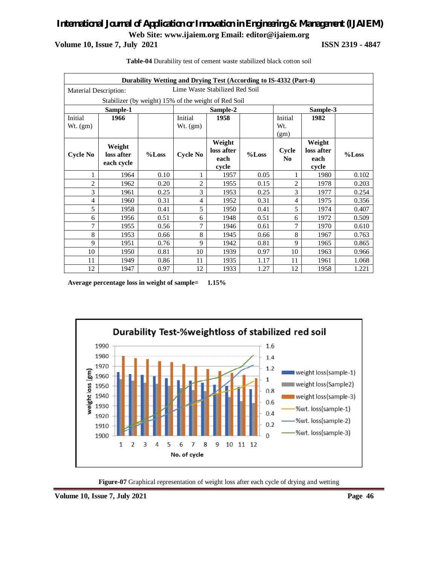**Volume 10, Issue 7, July 2021 ISSN 2319 - 4847** 

| Durability Wetting and Drying Test (According to IS-4332 (Part-4) |                                                         |       |                 |                      |       |                |                      |       |  |
|-------------------------------------------------------------------|---------------------------------------------------------|-------|-----------------|----------------------|-------|----------------|----------------------|-------|--|
|                                                                   | Lime Waste Stabilized Red Soil<br>Material Description: |       |                 |                      |       |                |                      |       |  |
|                                                                   | Stabilizer (by weight) 15% of the weight of Red Soil    |       |                 |                      |       |                |                      |       |  |
|                                                                   | Sample-1                                                |       |                 | Sample-2             |       |                | Sample-3             |       |  |
| Initial                                                           | 1966                                                    |       | Initial         | 1958                 |       | Initial        | 1982                 |       |  |
| $Wt.$ (gm)                                                        |                                                         |       | $Wt.$ (gm)      |                      |       | W <sub>t</sub> |                      |       |  |
|                                                                   |                                                         |       |                 |                      |       | (gm)           |                      |       |  |
|                                                                   | Weight                                                  |       |                 | Weight<br>loss after |       | Cycle          | Weight<br>loss after |       |  |
| <b>Cycle No</b>                                                   | loss after                                              | %Loss | <b>Cycle No</b> | each                 | %Loss | No             | each                 | %Loss |  |
|                                                                   | each cycle                                              |       |                 | cycle                |       |                | cycle                |       |  |
| 1                                                                 | 1964                                                    | 0.10  | 1               | 1957                 | 0.05  | 1              | 1980                 | 0.102 |  |
| $\overline{2}$                                                    | 1962                                                    | 0.20  | $\overline{2}$  | 1955                 | 0.15  | $\overline{c}$ | 1978                 | 0.203 |  |
| 3                                                                 | 1961                                                    | 0.25  | 3               | 1953                 | 0.25  | 3              | 1977                 | 0.254 |  |
| $\overline{4}$                                                    | 1960                                                    | 0.31  | $\overline{4}$  | 1952                 | 0.31  | $\overline{4}$ | 1975                 | 0.356 |  |
| 5                                                                 | 1958                                                    | 0.41  | 5               | 1950                 | 0.41  | 5              | 1974                 | 0.407 |  |
| 6                                                                 | 1956                                                    | 0.51  | 6               | 1948                 | 0.51  | 6              | 1972                 | 0.509 |  |
| 7                                                                 | 1955                                                    | 0.56  | 7               | 1946                 | 0.61  | 7              | 1970                 | 0.610 |  |
| 8                                                                 | 1953                                                    | 0.66  | 8               | 1945                 | 0.66  | 8              | 1967                 | 0.763 |  |
| 9                                                                 | 1951                                                    | 0.76  | 9               | 1942                 | 0.81  | 9              | 1965                 | 0.865 |  |
| 10                                                                | 1950                                                    | 0.81  | 10              | 1939                 | 0.97  | 10             | 1963                 | 0.966 |  |
| 11                                                                | 1949                                                    | 0.86  | 11              | 1935                 | 1.17  | 11             | 1961                 | 1.068 |  |
| 12                                                                | 1947                                                    | 0.97  | 12              | 1933                 | 1.27  | 12             | 1958                 | 1.221 |  |

**Table-04** Durability test of cement waste stabilized black cotton soil

**Average percentage loss in weight of sample= 1.15%**



**Figure-07** Graphical representation of weight loss after each cycle of drying and wetting

**Volume 10, Issue 7, July 2021** Page 46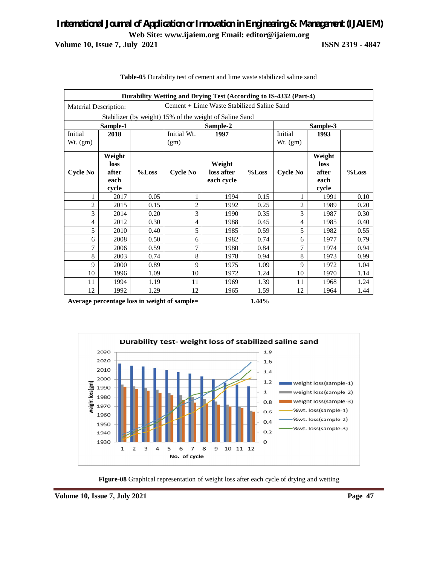### *International Journal of Application or Innovation in Engineering & Management (IJAIEM)* **Web Site: www.ijaiem.org Email: editor@ijaiem.org Volume 10, Issue 7, July 2021 ISSN 2319 - 4847**

| Durability Wetting and Drying Test (According to IS-4332 (Part-4) |                                                                     |       |                 |            |       |                 |        |       |  |
|-------------------------------------------------------------------|---------------------------------------------------------------------|-------|-----------------|------------|-------|-----------------|--------|-------|--|
|                                                                   | Cement + Lime Waste Stabilized Saline Sand<br>Material Description: |       |                 |            |       |                 |        |       |  |
|                                                                   | Stabilizer (by weight) 15% of the weight of Saline Sand             |       |                 |            |       |                 |        |       |  |
|                                                                   | Sample-1                                                            |       |                 | Sample-2   |       | Sample-3        |        |       |  |
| Initial                                                           | 2018                                                                |       | Initial Wt.     | 1997       |       | Initial         | 1993   |       |  |
| Wt. (gm)                                                          |                                                                     |       | (gm)            |            |       | $Wt.$ (gm)      |        |       |  |
|                                                                   | Weight                                                              |       |                 |            |       |                 | Weight |       |  |
|                                                                   | loss                                                                |       |                 | Weight     |       |                 | loss   |       |  |
| Cycle No                                                          | after                                                               | %Loss | <b>Cycle No</b> | loss after | %Loss | <b>Cycle No</b> | after  | %Loss |  |
|                                                                   | each                                                                |       |                 | each cycle |       |                 | each   |       |  |
|                                                                   | cycle                                                               |       |                 |            |       |                 | cycle  |       |  |
| 1                                                                 | 2017                                                                | 0.05  | 1               | 1994       | 0.15  | 1               | 1991   | 0.10  |  |
| $\overline{c}$                                                    | 2015                                                                | 0.15  | $\overline{c}$  | 1992       | 0.25  | $\overline{c}$  | 1989   | 0.20  |  |
| 3                                                                 | 2014                                                                | 0.20  | 3               | 1990       | 0.35  | 3               | 1987   | 0.30  |  |
| $\overline{4}$                                                    | 2012                                                                | 0.30  | 4               | 1988       | 0.45  | $\overline{4}$  | 1985   | 0.40  |  |
| 5                                                                 | 2010                                                                | 0.40  | 5               | 1985       | 0.59  | 5               | 1982   | 0.55  |  |
| 6                                                                 | 2008                                                                | 0.50  | 6               | 1982       | 0.74  | 6               | 1977   | 0.79  |  |
| 7                                                                 | 2006                                                                | 0.59  | $\tau$          | 1980       | 0.84  | 7               | 1974   | 0.94  |  |
| 8                                                                 | 2003                                                                | 0.74  | 8               | 1978       | 0.94  | 8               | 1973   | 0.99  |  |
| 9                                                                 | 2000                                                                | 0.89  | 9               | 1975       | 1.09  | 9               | 1972   | 1.04  |  |
| 10                                                                | 1996                                                                | 1.09  | 10              | 1972       | 1.24  | 10              | 1970   | 1.14  |  |
| 11                                                                | 1994                                                                | 1.19  | 11              | 1969       | 1.39  | 11              | 1968   | 1.24  |  |
| 12                                                                | 1992                                                                | 1.29  | 12              | 1965       | 1.59  | 12              | 1964   | 1.44  |  |

**Table-05** Durability test of cement and lime waste stabilized saline sand

**Average percentage loss in weight of sample= 1.44%**



**Figure-08** Graphical representation of weight loss after each cycle of drying and wetting

**Volume 10, Issue 7, July 2021** Page 47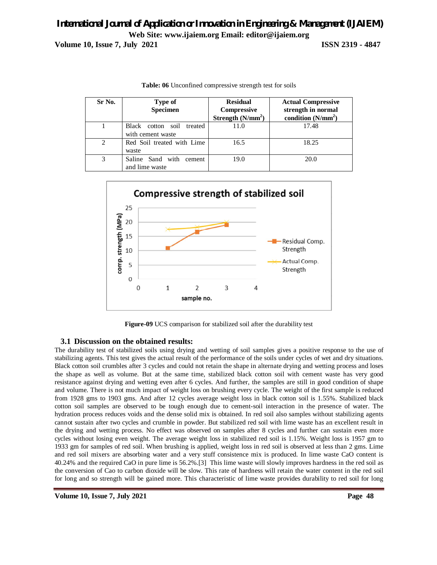| <b>Volume 10, Issue 7, July 2021</b> |  |  |  |
|--------------------------------------|--|--|--|
|--------------------------------------|--|--|--|

**Volume 10, Issue 7, July 2021 ISSN 2319 - 4847**

| Sr No. | Type of<br><b>Specimen</b>                     | <b>Residual</b><br><b>Compressive</b><br>Strength $(N/mm2)$ | <b>Actual Compressive</b><br>strength in normal<br>condition $(N/mm2)$ |
|--------|------------------------------------------------|-------------------------------------------------------------|------------------------------------------------------------------------|
|        | Black cotton soil treated<br>with cement waste | 11.0                                                        | 17.48                                                                  |
| 2      | Red Soil treated with Lime<br>waste            | 16.5                                                        | 18.25                                                                  |
| 3      | Saline Sand with cement<br>and lime waste      | 19.0                                                        | 20.0                                                                   |

**Table: 06** Unconfined compressive strength test for soils



**Figure-09** UCS comparison for stabilized soil after the durability test

### **3.1 Discussion on the obtained results:**

The durability test of stabilized soils using drying and wetting of soil samples gives a positive response to the use of stabilizing agents. This test gives the actual result of the performance of the soils under cycles of wet and dry situations. Black cotton soil crumbles after 3 cycles and could not retain the shape in alternate drying and wetting process and loses the shape as well as volume. But at the same time, stabilized black cotton soil with cement waste has very good resistance against drying and wetting even after 6 cycles. And further, the samples are still in good condition of shape and volume. There is not much impact of weight loss on brushing every cycle. The weight of the first sample is reduced from 1928 gms to 1903 gms. And after 12 cycles average weight loss in black cotton soil is 1.55%. Stabilized black cotton soil samples are observed to be tough enough due to cement-soil interaction in the presence of water. The hydration process reduces voids and the dense solid mix is obtained. In red soil also samples without stabilizing agents cannot sustain after two cycles and crumble in powder. But stabilized red soil with lime waste has an excellent result in the drying and wetting process. No effect was observed on samples after 8 cycles and further can sustain even more cycles without losing even weight. The average weight loss in stabilized red soil is 1.15%. Weight loss is 1957 gm to 1933 gm for samples of red soil. When brushing is applied, weight loss in red soil is observed at less than 2 gms. Lime and red soil mixers are absorbing water and a very stuff consistence mix is produced. In lime waste CaO content is 40.24% and the required CaO in pure lime is 56.2%.[3] This lime waste will slowly improves hardness in the red soil as the conversion of Cao to carbon dioxide will be slow. This rate of hardness will retain the water content in the red soil for long and so strength will be gained more. This characteristic of lime waste provides durability to red soil for long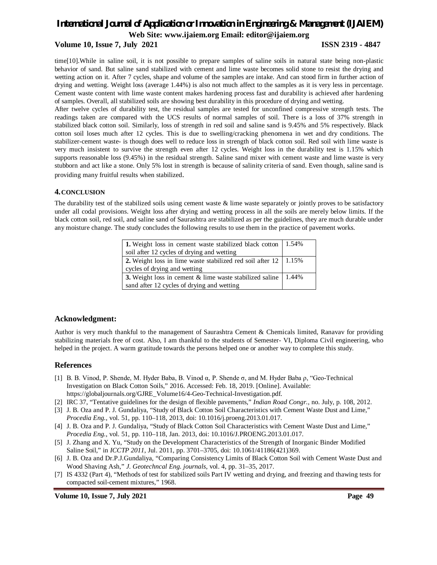#### **Volume 10, Issue 7, July 2021 ISSN 2319 - 4847**

time[10].While in saline soil, it is not possible to prepare samples of saline soils in natural state being non-plastic behavior of sand. But saline sand stabilized with cement and lime waste becomes solid stone to resist the drying and wetting action on it. After 7 cycles, shape and volume of the samples are intake. And can stood firm in further action of drying and wetting. Weight loss (average 1.44%) is also not much affect to the samples as it is very less in percentage. Cement waste content with lime waste content makes hardening process fast and durability is achieved after hardening of samples. Overall, all stabilized soils are showing best durability in this procedure of drying and wetting.

After twelve cycles of durability test, the residual samples are tested for unconfined compressive strength tests. The readings taken are compared with the UCS results of normal samples of soil. There is a loss of 37% strength in stabilized black cotton soil. Similarly, loss of strength in red soil and saline sand is 9.45% and 5% respectively. Black cotton soil loses much after 12 cycles. This is due to swelling/cracking phenomena in wet and dry conditions. The stabilizer-cement waste- is though does well to reduce loss in strength of black cotton soil. Red soil with lime waste is very much insistent to survive the strength even after 12 cycles. Weight loss in the durability test is 1.15% which supports reasonable loss (9.45%) in the residual strength. Saline sand mixer with cement waste and lime waste is very stubborn and act like a stone. Only 5% lost in strength is because of salinity criteria of sand. Even though, saline sand is providing many fruitful results when stabilized.

#### **4.CONCLUSION**

The durability test of the stabilized soils using cement waste  $\&$  lime waste separately or jointly proves to be satisfactory under all codal provisions. Weight loss after drying and wetting process in all the soils are merely below limits. If the black cotton soil, red soil, and saline sand of Saurashtra are stabilized as per the guidelines, they are much durable under any moisture change. The study concludes the following results to use them in the practice of pavement works.

| 1. Weight loss in cement waste stabilized black cotton                         | 1.54%    |
|--------------------------------------------------------------------------------|----------|
| soil after 12 cycles of drying and wetting                                     |          |
| <b>2.</b> Weight loss in lime waste stabilized red soil after $12 \mid 1.15\%$ |          |
| cycles of drying and wetting                                                   |          |
| 3. Weight loss in cement & lime waste stabilized saline                        | $1.44\%$ |
| sand after 12 cycles of drying and wetting                                     |          |

### **Acknowledgment:**

Author is very much thankful to the management of Saurashtra Cement & Chemicals limited, Ranavav for providing stabilizing materials free of cost. Also, I am thankful to the students of Semester- VI, Diploma Civil engineering, who helped in the project. A warm gratitude towards the persons helped one or another way to complete this study.

### **References**

- [1] B. B. Vinod, P. Shende, M. Hyder Baba, B. Vinod α, P. Shende σ, and M. Hyder Baba ρ, "Geo-Technical Investigation on Black Cotton Soils," 2016. Accessed: Feb. 18, 2019. [Online]. Available: https://globaljournals.org/GJRE\_Volume16/4-Geo-Technical-Investigation.pdf.
- [2] IRC 37, "Tentative guidelines for the design of flexible pavements," *Indian Road Congr.*, no. July, p. 108, 2012.
- [3] J. B. Oza and P. J. Gundaliya, "Study of Black Cotton Soil Characteristics with Cement Waste Dust and Lime," *Procedia Eng.*, vol. 51, pp. 110–118, 2013, doi: 10.1016/j.proeng.2013.01.017.
- [4] J. B. Oza and P. J. Gundaliya, "Study of Black Cotton Soil Characteristics with Cement Waste Dust and Lime," *Procedia Eng.*, vol. 51, pp. 110–118, Jan. 2013, doi: 10.1016/J.PROENG.2013.01.017.
- [5] J. Zhang and X. Yu, "Study on the Development Characteristics of the Strength of Inorganic Binder Modified Saline Soil," in *ICCTP 2011*, Jul. 2011, pp. 3701–3705, doi: 10.1061/41186(421)369.
- [6] J. B. Oza and Dr.P.J.Gundaliya, "Comparing Consistency Limits of Black Cotton Soil with Cement Waste Dust and Wood Shaving Ash," *J. Geotechncal Eng. journals*, vol. 4, pp. 31–35, 2017.
- [7] IS 4332 (Part 4), "Methods of test for stabilized soils Part IV wetting and drying, and freezing and thawing tests for compacted soil-cement mixtures," 1968.

**Volume 10, Issue 7, July 2021 Page 49**